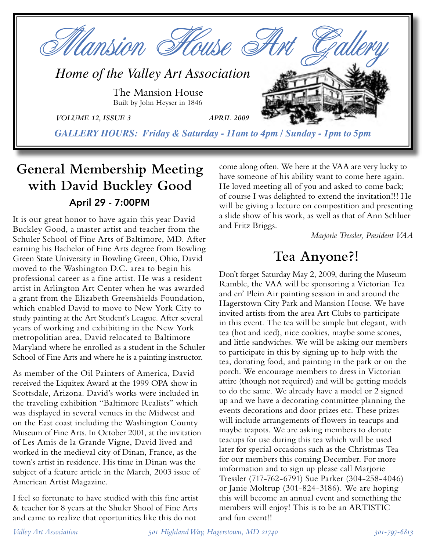

# **General Membership Meeting with David Buckley Good** April 29 - 7:00PM

It is our great honor to have again this year David Buckley Good, a master artist and teacher from the Schuler School of Fine Arts of Baltimore, MD. After earning his Bachelor of Fine Arts degree from Bowling Green State University in Bowling Green, Ohio, David moved to the Washington D.C. area to begin his professional career as a fine artist. He was a resident artist in Arlington Art Center when he was awarded a grant from the Elizabeth Greenshields Foundation, which enabled David to move to New York City to study painting at the Art Student's League. After several years of working and exhibiting in the New York metropolitian area, David relocated to Baltimore Maryland where he enrolled as a student in the Schuler School of Fine Arts and where he is a painting instructor.

As member of the Oil Painters of America, David received the Liquitex Award at the 1999 OPA show in Scottsdale, Arizona. David's works were included in the traveling exhibition "Baltimore Realists" which was displayed in several venues in the Midwest and on the East coast including the Washington County Museum of Fine Arts. In October 2001, at the invitation of Les Amis de la Grande Vigne, David lived and worked in the medieval city of Dinan, France, as the town's artist in residence. His time in Dinan was the subject of a feature article in the March, 2003 issue of American Artist Magazine.

I feel so fortunate to have studied with this fine artist & teacher for 8 years at the Shuler Shool of Fine Arts and came to realize that oportunities like this do not

come along often. We here at the VAA are very lucky to have someone of his ability want to come here again. He loved meeting all of you and asked to come back; of course I was delighted to extend the invitation!!! He will be giving a lecture on compostition and presenting a slide show of his work, as well as that of Ann Schluer and Fritz Briggs.

*Marjorie Tressler, President VAA*

# **Tea Anyone?!**

Don't forget Saturday May 2, 2009, during the Museum Ramble, the VAA will be sponsoring a Victorian Tea and en' Plein Air painting session in and around the Hagerstown City Park and Mansion House. We have invited artists from the area Art Clubs to participate in this event. The tea will be simple but elegant, with tea (hot and iced), nice cookies, maybe some scones, and little sandwiches. We will be asking our members to participate in this by signing up to help with the tea, donating food, and painting in the park or on the porch. We encourage members to dress in Victorian attire (though not required) and will be getting models to do the same. We already have a model or 2 signed up and we have a decorating committee planning the events decorations and door prizes etc. These prizes will include arrangements of flowers in teacups and maybe teapots. We are asking members to donate teacups for use during this tea which will be used later for special occasions such as the Christmas Tea for our members this coming December. For more imformation and to sign up please call Marjorie Tressler (717-762-6791) Sue Parker (304-258-4046) or Janie Moltrup (301-824-3186). We are hoping this will become an annual event and something the members will enjoy! This is to be an ARTISTIC and fun event!!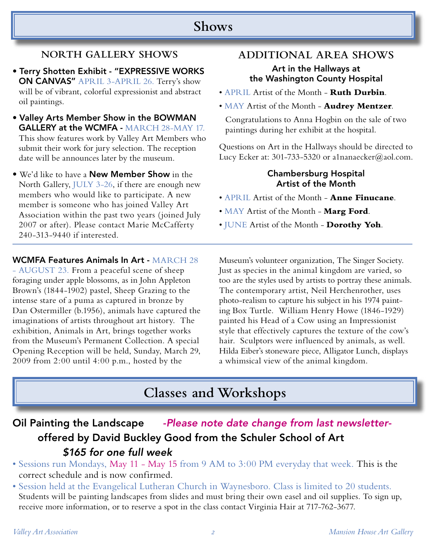### **Shows**

### **NORTH GALLERY SHOWS**

- Terry Shotten Exhibit "EXPRESSIVE WORKS ON CANVAS" APRIL 3-APRIL 26. Terry's show will be of vibrant, colorful expressionist and abstract oil paintings.
- Valley Arts Member Show in the BOWMAN GALLERY at the WCMFA - MARCH 28-MAY 17. This show features work by Valley Art Members who submit their work for jury selection. The reception date will be announces later by the museum.
- We'd like to have a **New Member Show** in the North Gallery, JULY 3-26, if there are enough new members who would like to participate. A new member is someone who has joined Valley Art Association within the past two years (joined July 2007 or after). Please contact Marie McCafferty 240-313-9440 if interested.

### **ADDITIONAL AREA SHOWS**

#### Art in the Hallways at the Washington County Hospital

- APRIL Artist of the Month **Ruth Durbin**.
- MAY Artist of the Month **Audrey Mentzer**.

Congratulations to Anna Hogbin on the sale of two paintings during her exhibit at the hospital.

Questions on Art in the Hallways should be directed to Lucy Ecker at: 301-733-5320 or a1nanaecker@aol.com.

### Chambersburg Hospital Artist of the Month

- APRIL Artist of the Month **Anne Finucane**.
- MAY Artist of the Month **Marg Ford**.
- JUNE Artist of the Month **Dorothy Yoh**.

#### WCMFA Features Animals In Art - MARCH 28

- AUGUST 23. From a peaceful scene of sheep foraging under apple blossoms, as in John Appleton Brown's (1844-1902) pastel, Sheep Grazing to the intense stare of a puma as captured in bronze by Dan Ostermiller (b.1956), animals have captured the imaginations of artists throughout art history. The exhibition, Animals in Art, brings together works from the Museum's Permanent Collection. A special Opening Reception will be held, Sunday, March 29, 2009 from 2:00 until 4:00 p.m., hosted by the

Museum's volunteer organization, The Singer Society. Just as species in the animal kingdom are varied, so too are the styles used by artists to portray these animals. The contemporary artist, Neil Herchenrother, uses photo-realism to capture his subject in his 1974 painting Box Turtle. William Henry Howe (1846-1929) painted his Head of a Cow using an Impressionist style that effectively captures the texture of the cow's hair. Sculptors were influenced by animals, as well. Hilda Eiber's stoneware piece, Alligator Lunch, displays a whimsical view of the animal kingdom.

# **Classes and Workshops**

Oil Painting the Landscape - Please note date change from last newsletter offered by David Buckley Good from the Schuler School of Art \$165 for one full week

- Sessions run Mondays, May 11 May 15 from 9 AM to 3:00 PM everyday that week. This is the correct schedule and is now confirmed.
- Session held at the Evangelical Lutheran Church in Waynesboro. Class is limited to 20 students. Students will be painting landscapes from slides and must bring their own easel and oil supplies. To sign up, receive more information, or to reserve a spot in the class contact Virginia Hair at 717-762-3677.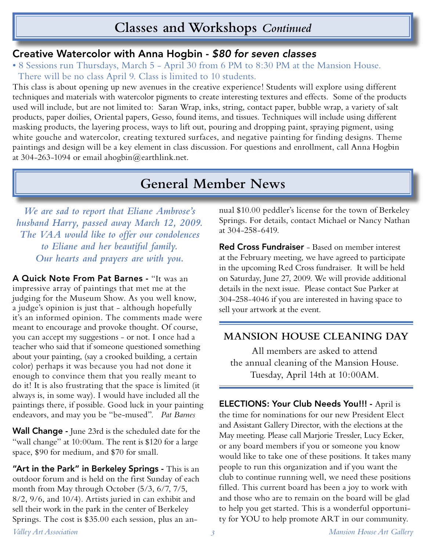## **Classes and Workshops** *Continued*

### Creative Watercolor with Anna Hogbin - \$80 for seven classes

• 8 Sessions run Thursdays, March 5 - April 30 from 6 PM to 8:30 PM at the Mansion House. There will be no class April 9. Class is limited to 10 students.

This class is about opening up new avenues in the creative experience! Students will explore using different techniques and materials with watercolor pigments to create interesting textures and effects. Some of the products used will include, but are not limited to: Saran Wrap, inks, string, contact paper, bubble wrap, a variety of salt products, paper doilies, Oriental papers, Gesso, found items, and tissues. Techniques will include using different masking products, the layering process, ways to lift out, pouring and dropping paint, spraying pigment, using white gouche and watercolor, creating textured surfaces, and negative painting for finding designs. Theme paintings and design will be a key element in class discussion. For questions and enrollment, call Anna Hogbin at 304-263-1094 or email ahogbin@earthlink.net.

# **General Member News**

*We are sad to report that Eliane Ambrose's husband Harry, passed away March 12, 2009. The VAA would like to offer our condolences to Eliane and her beautiful family. Our hearts and prayers are with you.*

A Quick Note From Pat Barnes - "It was an impressive array of paintings that met me at the judging for the Museum Show. As you well know, a judge's opinion is just that - although hopefully it's an informed opinion. The comments made were meant to encourage and provoke thought. Of course, you can accept my suggestions - or not. I once had a teacher who said that if someone questioned something about your painting, (say a crooked building, a certain color) perhaps it was because you had not done it enough to convince them that you really meant to do it! It is also frustrating that the space is limited (it always is, in some way). I would have included all the paintings there, if possible. Good luck in your painting endeavors, and may you be "be-mused". *Pat Barnes*

Wall Change - June 23rd is the scheduled date for the "wall change" at 10:00am. The rent is \$120 for a large space, \$90 for medium, and \$70 for small.

"Art in the Park" in Berkeley Springs - This is an outdoor forum and is held on the first Sunday of each month from May through October (5/3, 6/7, 7/5, 8/2, 9/6, and 10/4). Artists juried in can exhibit and sell their work in the park in the center of Berkeley Springs. The cost is \$35.00 each session, plus an annual \$10.00 peddler's license for the town of Berkeley Springs. For details, contact Michael or Nancy Nathan at 304-258-6419.

Red Cross Fundraiser - Based on member interest at the February meeting, we have agreed to participate in the upcoming Red Cross fundraiser. It will be held on Saturday, June 27, 2009. We will provide additional details in the next issue. Please contact Sue Parker at 304-258-4046 if you are interested in having space to sell your artwork at the event.

### **MANSION HOUSE CLEANING DAY**

All members are asked to attend the annual cleaning of the Mansion House. Tuesday, April 14th at 10:00AM.

ELECTIONS: Your Club Needs You!!! - April is the time for nominations for our new President Elect and Assistant Gallery Director, with the elections at the May meeting. Please call Marjorie Tressler, Lucy Ecker, or any board members if you or someone you know would like to take one of these positions. It takes many people to run this organization and if you want the club to continue running well, we need these positions filled. This current board has been a joy to work with and those who are to remain on the board will be glad to help you get started. This is a wonderful opportunity for YOU to help promote ART in our community.